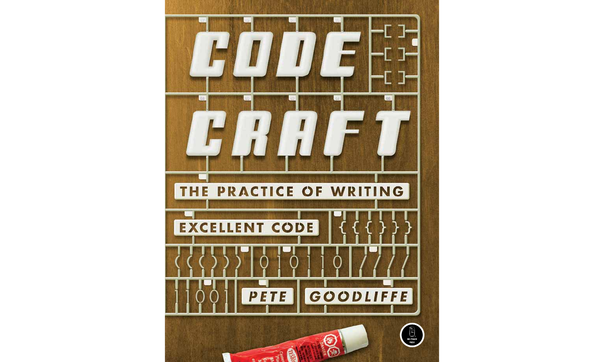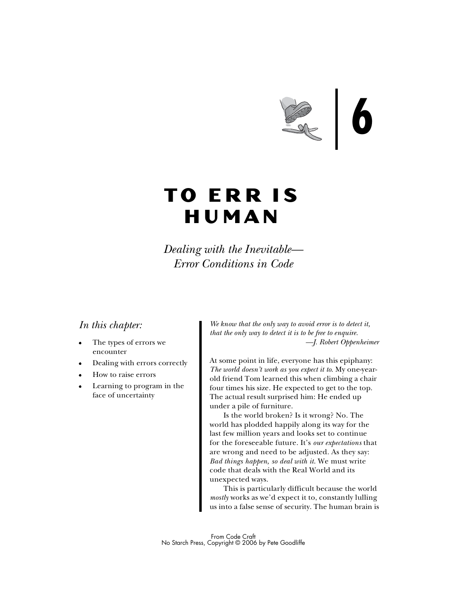

# **TO ERR IS HUMAN**

*Dealing with the Inevitable— Error Conditions in Code*

# *In this chapter:*

- The types of errors we encounter
- Dealing with errors correctly
- How to raise errors
- Learning to program in the face of uncertainty

*We know that the only way to avoid error is to detect it, that the only way to detect it is to be free to enquire. —J. Robert Oppenheimer*

At some point in life, everyone has this epiphany: *The world doesn't work as you expect it to*. My one-yearold friend Tom learned this when climbing a chair four times his size. He expected to get to the top. The actual result surprised him: He ended up under a pile of furniture.

Is the world broken? Is it wrong? No. The world has plodded happily along its way for the last few million years and looks set to continue for the foreseeable future. It's *our expectations* that are wrong and need to be adjusted. As they say: *Bad things happen, so deal with it*. We must write code that deals with the Real World and its unexpected ways.

This is particularly difficult because the world *mostly* works as we'd expect it to, constantly lulling us into a false sense of security. The human brain is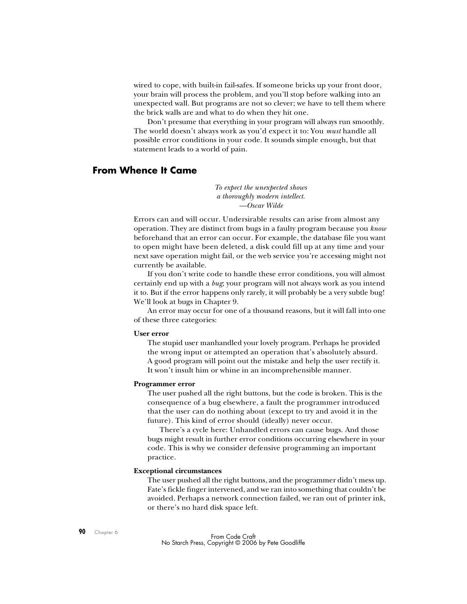wired to cope, with built-in fail-safes. If someone bricks up your front door, your brain will process the problem, and you'll stop before walking into an unexpected wall. But programs are not so clever; we have to tell them where the brick walls are and what to do when they hit one.

Don't presume that everything in your program will always run smoothly. The world doesn't always work as you'd expect it to: You *must* handle all possible error conditions in your code. It sounds simple enough, but that statement leads to a world of pain.

# **From Whence It Came**

*To expect the unexpected shows a thoroughly modern intellect. —Oscar Wilde*

Errors can and will occur. Undersirable results can arise from almost any operation. They are distinct from bugs in a faulty program because you *know* beforehand that an error can occur. For example, the database file you want to open might have been deleted, a disk could fill up at any time and your next save operation might fail, or the web service you're accessing might not currently be available.

If you don't write code to handle these error conditions, you will almost certainly end up with a *bug*; your program will not always work as you intend it to. But if the error happens only rarely, it will probably be a very subtle bug! We'll look at bugs in Chapter 9.

An error may occur for one of a thousand reasons, but it will fall into one of these three categories:

#### **User error**

The stupid user manhandled your lovely program. Perhaps he provided the wrong input or attempted an operation that's absolutely absurd. A good program will point out the mistake and help the user rectify it. It won't insult him or whine in an incomprehensible manner.

#### **Programmer error**

The user pushed all the right buttons, but the code is broken. This is the consequence of a bug elsewhere, a fault the programmer introduced that the user can do nothing about (except to try and avoid it in the future). This kind of error should (ideally) never occur.

There's a cycle here: Unhandled errors can cause bugs. And those bugs might result in further error conditions occurring elsewhere in your code. This is why we consider defensive programming an important practice.

#### **Exceptional circumstances**

The user pushed all the right buttons, and the programmer didn't mess up. Fate's fickle finger intervened, and we ran into something that couldn't be avoided. Perhaps a network connection failed, we ran out of printer ink, or there's no hard disk space left.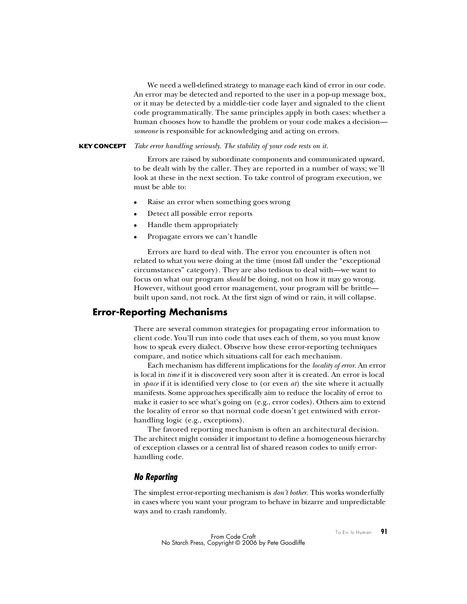We need a well-defined strategy to manage each kind of error in our code. An error may be detected and reported to the user in a pop-up message box, or it may be detected by a middle-tier code layer and signaled to the client code programmatically. The same principles apply in both cases: whether a human chooses how to handle the problem or your code makes a decision *someone* is responsible for acknowledging and acting on errors.

#### **KEY CONCEPT** *Take error handling seriously. The stability of your code rests on it.*

Errors are raised by subordinate components and communicated upward, to be dealt with by the caller. They are reported in a number of ways; we'll look at these in the next section. To take control of program execution, we must be able to:

- Raise an error when something goes wrong
- Detect all possible error reports
- Handle them appropriately
- Propagate errors we can't handle

Errors are hard to deal with. The error you encounter is often not related to what you were doing at the time (most fall under the "exceptional circumstances" category). They are also tedious to deal with—we want to focus on what our program *should* be doing, not on how it may go wrong. However, without good error management, your program will be brittle built upon sand, not rock. At the first sign of wind or rain, it will collapse.

# **Error-Reporting Mechanisms**

There are several common strategies for propagating error information to client code. You'll run into code that uses each of them, so you must know how to speak every dialect. Observe how these error-reporting techniques compare, and notice which situations call for each mechanism.

Each mechanism has different implications for the *locality of error*. An error is local in *time* if it is discovered very soon after it is created. An error is local in *space* if it is identified very close to (or even *at*) the site where it actually manifests. Some approaches specifically aim to reduce the locality of error to make it easier to see what's going on (e.g., error codes). Others aim to extend the locality of error so that normal code doesn't get entwined with errorhandling logic (e.g., exceptions).

The favored reporting mechanism is often an architectural decision. The architect might consider it important to define a homogeneous hierarchy of exception classes or a central list of shared reason codes to unify errorhandling code.

### *No Reporting*

The simplest error-reporting mechanism is *don't bother*. This works wonderfully in cases where you want your program to behave in bizarre and unpredictable ways and to crash randomly.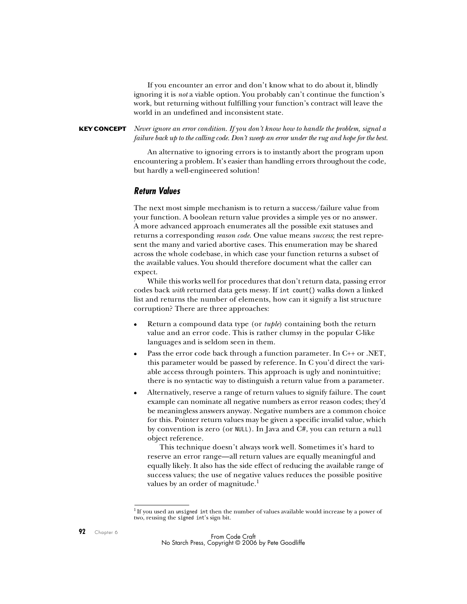If you encounter an error and don't know what to do about it, blindly ignoring it is *not* a viable option. You probably can't continue the function's work, but returning without fulfilling your function's contract will leave the world in an undefined and inconsistent state.

**KEY CONCEPT** *Never ignore an error condition. If you don't know how to handle the problem, signal a failure back up to the calling code. Don't sweep an error under the rug and hope for the best.*

> An alternative to ignoring errors is to instantly abort the program upon encountering a problem. It's easier than handling errors throughout the code, but hardly a well-engineered solution!

#### *Return Values*

The next most simple mechanism is to return a success/failure value from your function. A boolean return value provides a simple yes or no answer. A more advanced approach enumerates all the possible exit statuses and returns a corresponding *reason code*. One value means *success*; the rest represent the many and varied abortive cases. This enumeration may be shared across the whole codebase, in which case your function returns a subset of the available values. You should therefore document what the caller can expect.

While this works well for procedures that don't return data, passing error codes back *with* returned data gets messy. If int count() walks down a linked list and returns the number of elements, how can it signify a list structure corruption? There are three approaches:

- Return a compound data type (or *tuple*) containing both the return value and an error code. This is rather clumsy in the popular C-like languages and is seldom seen in them.
- Pass the error code back through a function parameter. In  $C_{++}$  or .NET, this parameter would be passed by reference. In C you'd direct the variable access through pointers. This approach is ugly and nonintuitive; there is no syntactic way to distinguish a return value from a parameter.
- Alternatively, reserve a range of return values to signify failure. The count example can nominate all negative numbers as error reason codes; they'd be meaningless answers anyway. Negative numbers are a common choice for this. Pointer return values may be given a specific invalid value, which by convention is zero (or NULL). In Java and C#, you can return a null object reference.

This technique doesn't always work well. Sometimes it's hard to reserve an error range—all return values are equally meaningful and equally likely. It also has the side effect of reducing the available range of success values; the use of negative values reduces the possible positive values by an order of magnitude.<sup>1</sup>

 $1$  If you used an unsigned int then the number of values available would increase by a power of two, reusing the signed int's sign bit.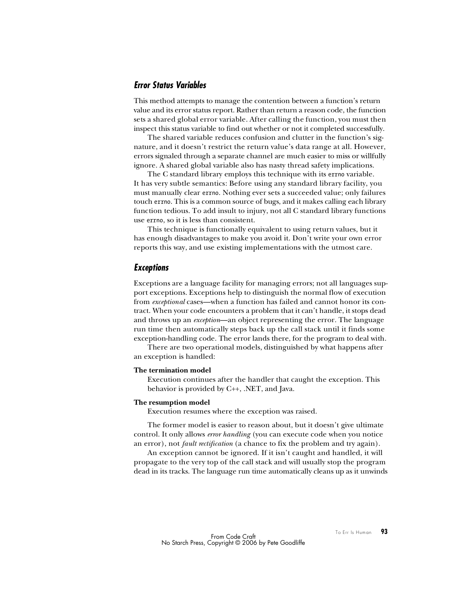# *Error Status Variables*

This method attempts to manage the contention between a function's return value and its error status report. Rather than return a reason code, the function sets a shared global error variable. After calling the function, you must then inspect this status variable to find out whether or not it completed successfully.

The shared variable reduces confusion and clutter in the function's signature, and it doesn't restrict the return value's data range at all. However, errors signaled through a separate channel are much easier to miss or willfully ignore. A shared global variable also has nasty thread safety implications.

The C standard library employs this technique with its errno variable. It has very subtle semantics: Before using any standard library facility, you must manually clear errno. Nothing ever sets a succeeded value; only failures touch errno. This is a common source of bugs, and it makes calling each library function tedious. To add insult to injury, not all C standard library functions use errno, so it is less than consistent.

This technique is functionally equivalent to using return values, but it has enough disadvantages to make you avoid it. Don't write your own error reports this way, and use existing implementations with the utmost care.

#### *Exceptions*

Exceptions are a language facility for managing errors; not all languages support exceptions. Exceptions help to distinguish the normal flow of execution from *exceptional* cases—when a function has failed and cannot honor its contract. When your code encounters a problem that it can't handle, it stops dead and throws up an *exception*—an object representing the error. The language run time then automatically steps back up the call stack until it finds some exception-handling code. The error lands there, for the program to deal with.

There are two operational models, distinguished by what happens after an exception is handled:

#### **The termination model**

Execution continues after the handler that caught the exception. This behavior is provided by C++, .NET, and Java.

#### **The resumption model**

Execution resumes where the exception was raised.

The former model is easier to reason about, but it doesn't give ultimate control. It only allows *error handling* (you can execute code when you notice an error), not *fault rectification* (a chance to fix the problem and try again).

An exception cannot be ignored. If it isn't caught and handled, it will propagate to the very top of the call stack and will usually stop the program dead in its tracks. The language run time automatically cleans up as it unwinds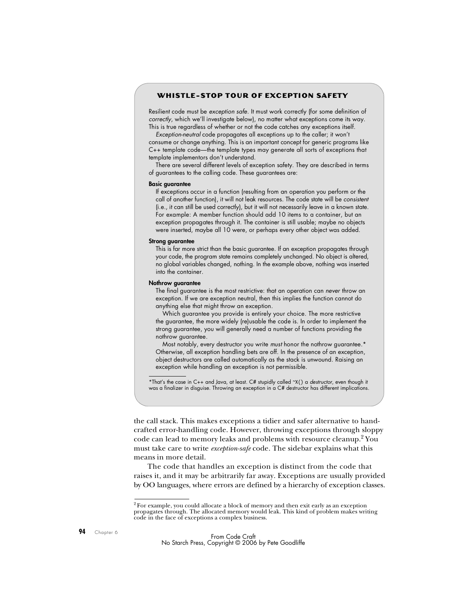#### **WHISTLE-STOP TOUR OF EXCEPTION SAFETY**

Resilient code must be exception safe. It must work correctly (for some definition of correctly, which we'll investigate below), no matter what exceptions come its way. This is true regardless of whether or not the code catches any exceptions itself.

Exception-neutral code propagates all exceptions up to the caller; it won't consume or change anything. This is an important concept for generic programs like C++ template code—the template types may generate all sorts of exceptions that template implementors don't understand.

There are several different levels of exception safety. They are described in terms of guarantees to the calling code. These guarantees are:

#### **Basic guarantee**

If exceptions occur in a function (resulting from an operation you perform or the call of another function), it will not leak resources. The code state will be consistent (i.e., it can still be used correctly), but it will not necessarily leave in a known state. For example: A member function should add 10 items to a container, but an exception propagates through it. The container is still usable; maybe no objects were inserted, maybe all 10 were, or perhaps every other object was added.

#### **Strong guarantee**

This is far more strict than the basic guarantee. If an exception propagates through your code, the program state remains completely unchanged. No object is altered, no global variables changed, nothing. In the example above, nothing was inserted into the container.

#### **Nothrow guarantee**

The final guarantee is the most restrictive: that an operation can never throw an exception. If we are exception neutral, then this implies the function cannot do anything else that might throw an exception.

Which guarantee you provide is entirely your choice. The more restrictive the guarantee, the more widely (re)usable the code is. In order to implement the strong guarantee, you will generally need a number of functions providing the nothrow guarantee.

Most notably, every destructor you write must honor the nothrow guarantee.\* Otherwise, all exception handling bets are off. In the presence of an exception, object destructors are called automatically as the stack is unwound. Raising an exception while handling an exception is not permissible.

\*That's the case in C++ and Java, at least. C# stupidly called ~X() a destructor, even though it was a finalizer in disguise. Throwing an exception in a C# destructor has different implications.

the call stack. This makes exceptions a tidier and safer alternative to handcrafted error-handling code. However, throwing exceptions through sloppy code can lead to memory leaks and problems with resource cleanup.<sup>2</sup> You must take care to write *exception-safe* code. The sidebar explains what this means in more detail.

The code that handles an exception is distinct from the code that raises it, and it may be arbitrarily far away. Exceptions are usually provided by OO languages, where errors are defined by a hierarchy of exception classes.

<sup>2</sup> For example, you could allocate a block of memory and then exit early as an exception propagates through. The allocated memory would leak. This kind of problem makes writing code in the face of exceptions a complex business.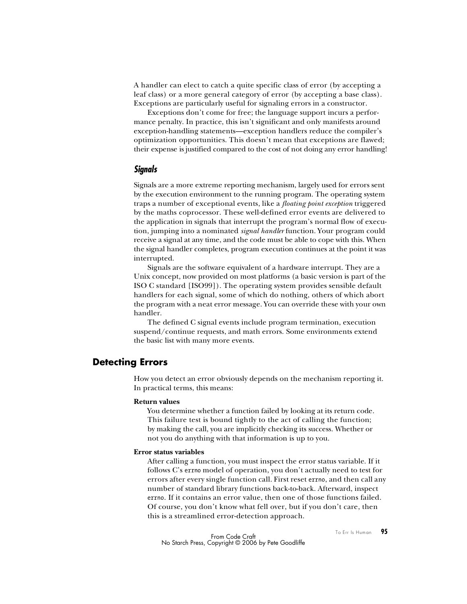A handler can elect to catch a quite specific class of error (by accepting a leaf class) or a more general category of error (by accepting a base class). Exceptions are particularly useful for signaling errors in a constructor.

Exceptions don't come for free; the language support incurs a performance penalty. In practice, this isn't significant and only manifests around exception-handling statements—exception handlers reduce the compiler's optimization opportunities. This doesn't mean that exceptions are flawed; their expense is justified compared to the cost of not doing any error handling!

### *Signals*

Signals are a more extreme reporting mechanism, largely used for errors sent by the execution environment to the running program. The operating system traps a number of exceptional events, like a *floating point exception* triggered by the maths coprocessor. These well-defined error events are delivered to the application in signals that interrupt the program's normal flow of execution, jumping into a nominated *signal handler* function. Your program could receive a signal at any time, and the code must be able to cope with this. When the signal handler completes, program execution continues at the point it was interrupted.

Signals are the software equivalent of a hardware interrupt. They are a Unix concept, now provided on most platforms (a basic version is part of the ISO C standard [ISO99]). The operating system provides sensible default handlers for each signal, some of which do nothing, others of which abort the program with a neat error message. You can override these with your own handler.

The defined C signal events include program termination, execution suspend/continue requests, and math errors. Some environments extend the basic list with many more events.

# **Detecting Errors**

How you detect an error obviously depends on the mechanism reporting it. In practical terms, this means:

#### **Return values**

You determine whether a function failed by looking at its return code. This failure test is bound tightly to the act of calling the function; by making the call, you are implicitly checking its success. Whether or not you do anything with that information is up to you.

#### **Error status variables**

After calling a function, you must inspect the error status variable. If it follows C's errno model of operation, you don't actually need to test for errors after every single function call. First reset errno, and then call any number of standard library functions back-to-back. Afterward, inspect errno. If it contains an error value, then one of those functions failed. Of course, you don't know what fell over, but if you don't care, then this is a streamlined error-detection approach.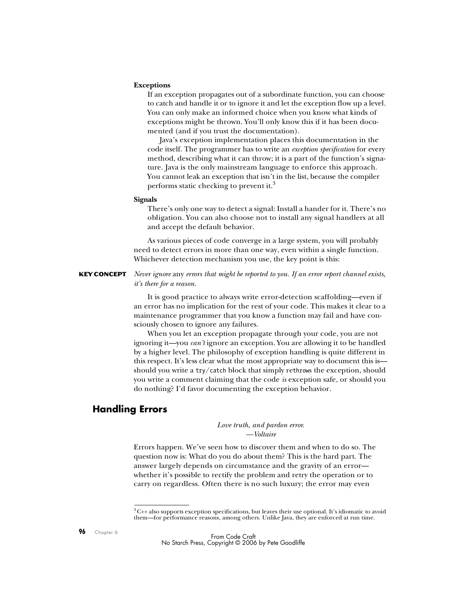#### **Exceptions**

If an exception propagates out of a subordinate function, you can choose to catch and handle it or to ignore it and let the exception flow up a level. You can only make an informed choice when you know what kinds of exceptions might be thrown. You'll only know this if it has been documented (and if you trust the documentation).

Java's exception implementation places this documentation in the code itself. The programmer has to write an *exception specification* for every method, describing what it can throw; it is a part of the function's signature. Java is the only mainstream language to enforce this approach. You cannot leak an exception that isn't in the list, because the compiler performs static checking to prevent it.<sup>3</sup>

#### **Signals**

There's only one way to detect a signal: Install a hander for it. There's no obligation. You can also choose not to install any signal handlers at all and accept the default behavior.

As various pieces of code converge in a large system, you will probably need to detect errors in more than one way, even within a single function. Whichever detection mechanism you use, the key point is this:

**KEY CONCEPT** *Never ignore* any *errors that might be reported to you. If an error report channel exists, it's there for a reason.*

> It is good practice to always write error-detection scaffolding—even if an error has no implication for the rest of your code. This makes it clear to a maintenance programmer that you know a function may fail and have consciously chosen to ignore any failures.

> When you let an exception propagate through your code, you are not ignoring it—you *can't* ignore an exception. You are allowing it to be handled by a higher level. The philosophy of exception handling is quite different in this respect. It's less clear what the most appropriate way to document this is should you write a try/catch block that simply rethrows the exception, should you write a comment claiming that the code *is* exception safe, or should you do nothing? I'd favor documenting the exception behavior.

# **Handling Errors**

#### *Love truth, and pardon error. —Voltaire*

Errors happen. We've seen how to discover them and when to do so. The question now is: What do you do about them? This is the hard part. The answer largely depends on circumstance and the gravity of an error whether it's possible to rectify the problem and retry the operation or to carry on regardless. Often there is no such luxury; the error may even

 $3$  C++ also supports exception specifications, but leaves their use optional. It's idiomatic to avoid them—for performance reasons, among others. Unlike Java, they are enforced at run time.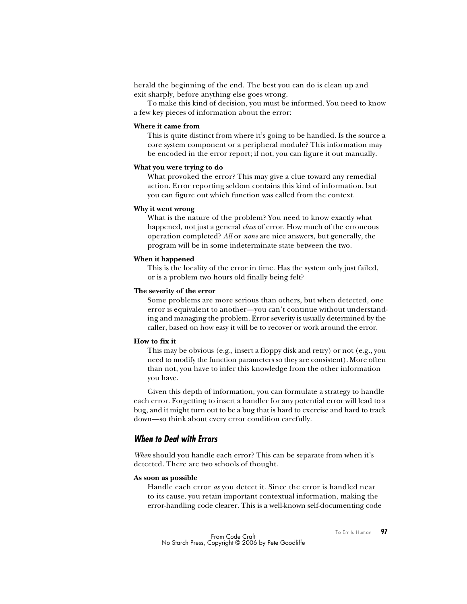herald the beginning of the end. The best you can do is clean up and exit sharply, before anything else goes wrong.

To make this kind of decision, you must be informed. You need to know a few key pieces of information about the error:

#### **Where it came from**

This is quite distinct from where it's going to be handled. Is the source a core system component or a peripheral module? This information may be encoded in the error report; if not, you can figure it out manually.

#### **What you were trying to do**

What provoked the error? This may give a clue toward any remedial action. Error reporting seldom contains this kind of information, but you can figure out which function was called from the context.

#### **Why it went wrong**

What is the nature of the problem? You need to know exactly what happened, not just a general *class* of error. How much of the erroneous operation completed? *All* or *none* are nice answers, but generally, the program will be in some indeterminate state between the two.

#### **When it happened**

This is the locality of the error in time. Has the system only just failed, or is a problem two hours old finally being felt?

#### **The severity of the error**

Some problems are more serious than others, but when detected, one error is equivalent to another—you can't continue without understanding and managing the problem. Error severity is usually determined by the caller, based on how easy it will be to recover or work around the error.

#### **How to fix it**

This may be obvious (e.g., insert a floppy disk and retry) or not (e.g., you need to modify the function parameters so they are consistent). More often than not, you have to infer this knowledge from the other information you have.

Given this depth of information, you can formulate a strategy to handle each error. Forgetting to insert a handler for any potential error will lead to a bug, and it might turn out to be a bug that is hard to exercise and hard to track down—so think about every error condition carefully.

# *When to Deal with Errors*

*When* should you handle each error? This can be separate from when it's detected. There are two schools of thought.

#### **As soon as possible**

Handle each error *as* you detect it. Since the error is handled near to its cause, you retain important contextual information, making the error-handling code clearer. This is a well-known self-documenting code

To Err Is Human **97**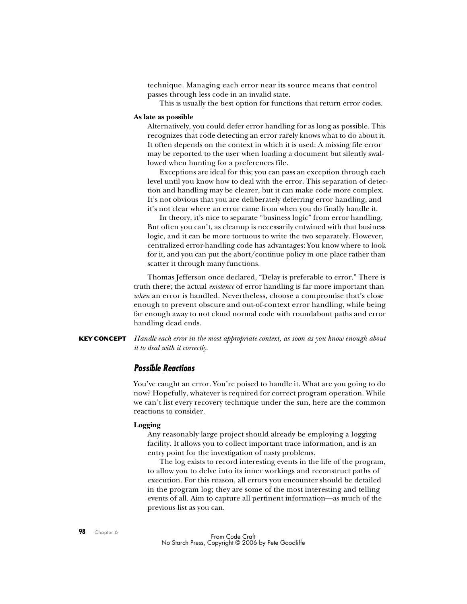technique. Managing each error near its source means that control passes through less code in an invalid state.

This is usually the best option for functions that return error codes.

#### **As late as possible**

Alternatively, you could defer error handling for as long as possible. This recognizes that code detecting an error rarely knows what to do about it. It often depends on the context in which it is used: A missing file error may be reported to the user when loading a document but silently swallowed when hunting for a preferences file.

Exceptions are ideal for this; you can pass an exception through each level until you know how to deal with the error. This separation of detection and handling may be clearer, but it can make code more complex. It's not obvious that you are deliberately deferring error handling, and it's not clear where an error came from when you do finally handle it.

In theory, it's nice to separate "business logic" from error handling. But often you can't, as cleanup is necessarily entwined with that business logic, and it can be more tortuous to write the two separately. However, centralized error-handling code has advantages: You know where to look for it, and you can put the abort/continue policy in one place rather than scatter it through many functions.

Thomas Jefferson once declared, "Delay is preferable to error." There is truth there; the actual *existence* of error handling is far more important than *when* an error is handled. Nevertheless, choose a compromise that's close enough to prevent obscure and out-of-context error handling, while being far enough away to not cloud normal code with roundabout paths and error handling dead ends.

**KEY CONCEPT** *Handle each error in the most appropriate context, as soon as you know enough about it to deal with it correctly.*

### *Possible Reactions*

You've caught an error. You're poised to handle it. What are you going to do now? Hopefully, whatever is required for correct program operation. While we can't list every recovery technique under the sun, here are the common reactions to consider.

#### **Logging**

Any reasonably large project should already be employing a logging facility. It allows you to collect important trace information, and is an entry point for the investigation of nasty problems.

The log exists to record interesting events in the life of the program, to allow you to delve into its inner workings and reconstruct paths of execution. For this reason, all errors you encounter should be detailed in the program log; they are some of the most interesting and telling events of all. Aim to capture all pertinent information—as much of the previous list as you can.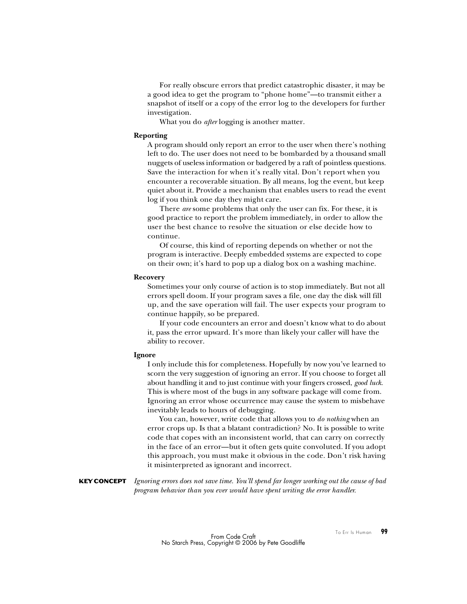For really obscure errors that predict catastrophic disaster, it may be a good idea to get the program to "phone home"—to transmit either a snapshot of itself or a copy of the error log to the developers for further investigation.

What you do *after* logging is another matter.

#### **Reporting**

A program should only report an error to the user when there's nothing left to do. The user does not need to be bombarded by a thousand small nuggets of useless information or badgered by a raft of pointless questions. Save the interaction for when it's really vital. Don't report when you encounter a recoverable situation. By all means, log the event, but keep quiet about it. Provide a mechanism that enables users to read the event log if you think one day they might care.

There *are* some problems that only the user can fix. For these, it is good practice to report the problem immediately, in order to allow the user the best chance to resolve the situation or else decide how to continue.

Of course, this kind of reporting depends on whether or not the program is interactive. Deeply embedded systems are expected to cope on their own; it's hard to pop up a dialog box on a washing machine.

#### **Recovery**

Sometimes your only course of action is to stop immediately. But not all errors spell doom. If your program saves a file, one day the disk will fill up, and the save operation will fail. The user expects your program to continue happily, so be prepared.

If your code encounters an error and doesn't know what to do about it, pass the error upward. It's more than likely your caller will have the ability to recover.

#### **Ignore**

I only include this for completeness. Hopefully by now you've learned to scorn the very suggestion of ignoring an error. If you choose to forget all about handling it and to just continue with your fingers crossed, *good luck*. This is where most of the bugs in any software package will come from. Ignoring an error whose occurrence may cause the system to misbehave inevitably leads to hours of debugging.

You can, however, write code that allows you to *do nothing* when an error crops up. Is that a blatant contradiction? No. It is possible to write code that copes with an inconsistent world, that can carry on correctly in the face of an error—but it often gets quite convoluted. If you adopt this approach, you must make it obvious in the code. Don't risk having it misinterpreted as ignorant and incorrect.

**KEY CONCEPT** *Ignoring errors does not save time. You'll spend far longer working out the cause of bad program behavior than you ever would have spent writing the error handler.*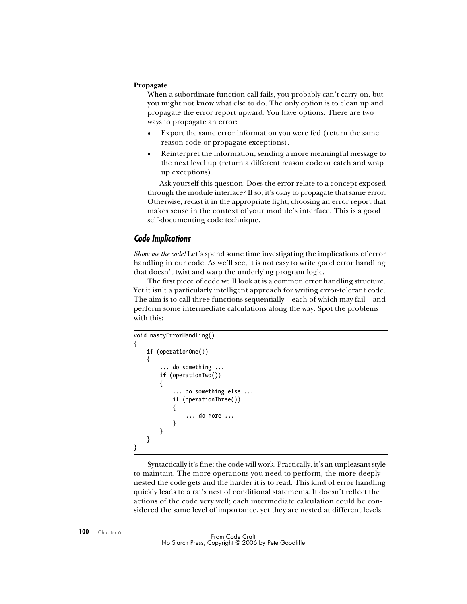#### **Propagate**

When a subordinate function call fails, you probably can't carry on, but you might not know what else to do. The only option is to clean up and propagate the error report upward. You have options. There are two ways to propagate an error:

- Export the same error information you were fed (return the same reason code or propagate exceptions).
- Reinterpret the information, sending a more meaningful message to the next level up (return a different reason code or catch and wrap up exceptions).

Ask yourself this question: Does the error relate to a concept exposed through the module interface? If so, it's okay to propagate that same error. Otherwise, recast it in the appropriate light, choosing an error report that makes sense in the context of your module's interface. This is a good self-documenting code technique.

## *Code Implications*

*Show me the code!* Let's spend some time investigating the implications of error handling in our code. As we'll see, it is not easy to write good error handling that doesn't twist and warp the underlying program logic.

The first piece of code we'll look at is a common error handling structure. Yet it isn't a particularly intelligent approach for writing error-tolerant code. The aim is to call three functions sequentially—each of which may fail—and perform some intermediate calculations along the way. Spot the problems with this:

```
void nastyErrorHandling()
{
    if (operationOne())
    {
        ... do something ...
        if (operationTwo())
        {
            ... do something else ...
            if (operationThree())
            {
                 ... do more ...
            }
        }
    }
}
```
Syntactically it's fine; the code will work. Practically, it's an unpleasant style to maintain. The more operations you need to perform, the more deeply nested the code gets and the harder it is to read. This kind of error handling quickly leads to a rat's nest of conditional statements. It doesn't reflect the actions of the code very well; each intermediate calculation could be considered the same level of importance, yet they are nested at different levels.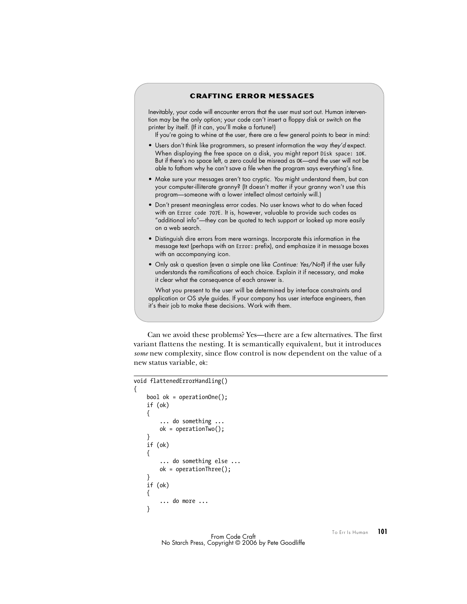#### **CRAFTING ERROR MESSAGES**

Inevitably, your code will encounter errors that the user must sort out. Human intervention may be the only option; your code can't insert a floppy disk or switch on the printer by itself. (If it can, you'll make a fortune!)

- If you're going to whine at the user, there are a few general points to bear in mind:
- Users don't think like programmers, so present information the way they'd expect. When displaying the free space on a disk, you might report Disk space: 10K. But if there's no space left, a zero could be misread as OK—and the user will not be able to fathom why he can't save a file when the program says everything's fine.
- Make sure your messages aren't too cryptic. You might understand them, but can your computer-illiterate granny? (It doesn't matter if your granny won't use this program—someone with a lower intellect almost certainly will.)
- Don't present meaningless error codes. No user knows what to do when faced with an Error code 707E. It is, however, valuable to provide such codes as "additional info"—they can be quoted to tech support or looked up more easily on a web search.
- Distinguish dire errors from mere warnings. Incorporate this information in the message text (perhaps with an Error: prefix), and emphasize it in message boxes with an accompanying icon.
- Only ask a question (even a simple one like Continue: Yes/No?) if the user fully understands the ramifications of each choice. Explain it if necessary, and make it clear what the consequence of each answer is.

What you present to the user will be determined by interface constraints and application or OS style guides. If your company has user interface engineers, then it's their job to make these decisions. Work with them.

Can we avoid these problems? Yes—there are a few alternatives. The first variant flattens the nesting. It is semantically equivalent, but it introduces *some* new complexity, since flow control is now dependent on the value of a new status variable, ok:

```
void flattenedErrorHandling()
{
    bool ok = operationOne();
    if (ok)
    {
        ... do something ...
        ok = operationTwo();
    }
    if (ok)
    {
        ... do something else ...
        ok = operationThree();
    }
    if (ok)
    {
        ... do more ...
    }
```
To Err Is Human **101**

From Code Craft No Starch Press, Copyright © 2006 by Pete Goodliffe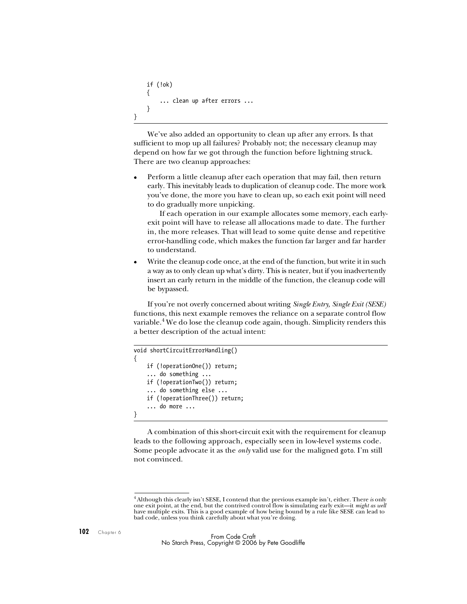```
if (!ok)
    {
        ... clean up after errors ...
    }
}
```
We've also added an opportunity to clean up after any errors. Is that sufficient to mop up all failures? Probably not; the necessary cleanup may depend on how far we got through the function before lightning struck. There are two cleanup approaches:

 Perform a little cleanup after each operation that may fail, then return early. This inevitably leads to duplication of cleanup code. The more work you've done, the more you have to clean up, so each exit point will need to do gradually more unpicking.

If each operation in our example allocates some memory, each earlyexit point will have to release all allocations made to date. The further in, the more releases. That will lead to some quite dense and repetitive error-handling code, which makes the function far larger and far harder to understand.

 Write the cleanup code once, at the end of the function, but write it in such a way as to only clean up what's dirty. This is neater, but if you inadvertently insert an early return in the middle of the function, the cleanup code will be bypassed.

If you're not overly concerned about writing *Single Entry, Single Exit (SESE)* functions, this next example removes the reliance on a separate control flow variable.<sup>4</sup> We do lose the cleanup code again, though. Simplicity renders this a better description of the actual intent:

```
void shortCircuitErrorHandling()
{
    if (!operationOne()) return;
    ... do something ...
    if (!operationTwo()) return;
    ... do something else ...
    if (!operationThree()) return;
    ... do more ...
}
```
A combination of this short-circuit exit with the requirement for cleanup leads to the following approach, especially seen in low-level systems code. Some people advocate it as the *only* valid use for the maligned goto. I'm still not convinced.

<sup>4</sup> Although this clearly isn't SESE, I contend that the previous example isn't, either. There *is* only one exit point, at the end, but the contrived control flow is simulating early exit—it *might as well* have multiple exits. This is a good example of how being bound by a rule like SESE can lead to bad code, unless you think carefully about what you're doing.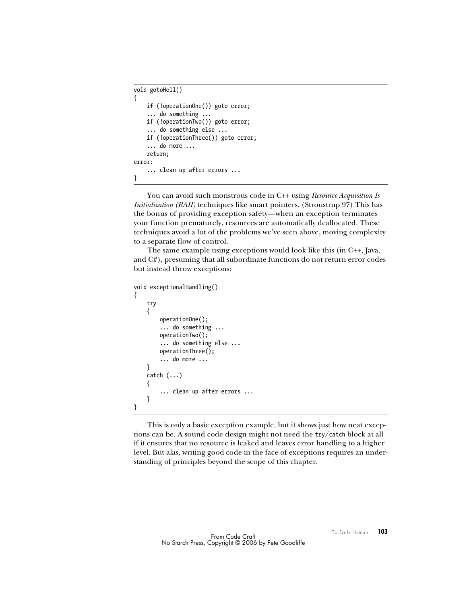```
void gotoHell()
{
    if (!operationOne()) goto error;
    ... do something ...
    if (!operationTwo()) goto error;
    ... do something else ...
    if (!operationThree()) goto error;
    ... do more ...
    return;
error:
    ... clean up after errors ...
}
```
You can avoid such monstrous code in C++ using *Resource Acquisition Is Initialization (RAII)* techniques like smart pointers. (Stroustrup 97) This has the bonus of providing exception safety—when an exception terminates your function prematurely, resources are automatically deallocated. These techniques avoid a lot of the problems we've seen above, moving complexity to a separate flow of control.

The same example using exceptions would look like this (in C++, Java, and C#), presuming that all subordinate functions do not return error codes but instead throw exceptions:

```
void exceptionalHandling()
{
    try
    {
        operationOne();
        ... do something ...
        operationTwo();
        ... do something else ...
        operationThree();
        ... do more ...
    }
    catch (...)
    {
        ... clean up after errors ...
    }
}
```
This is only a basic exception example, but it shows just how neat exceptions can be. A sound code design might not need the try/catch block at all if it ensures that no resource is leaked and leaves error handling to a higher level. But alas, writing good code in the face of exceptions requires an understanding of principles beyond the scope of this chapter.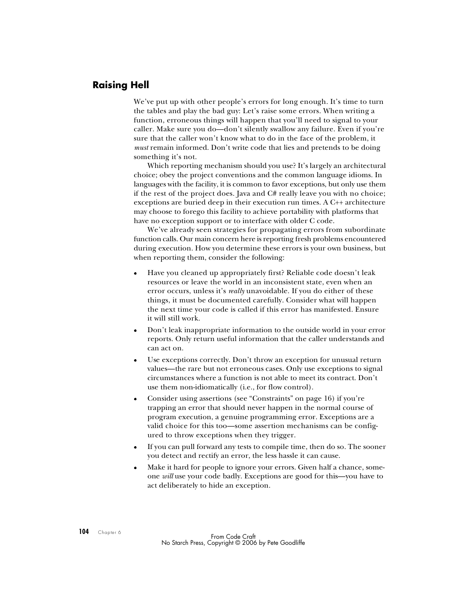# **Raising Hell**

We've put up with other people's errors for long enough. It's time to turn the tables and play the bad guy: Let's raise some errors. When writing a function, erroneous things will happen that you'll need to signal to your caller. Make sure you do—don't silently swallow any failure. Even if you're sure that the caller won't know what to do in the face of the problem, it *must* remain informed. Don't write code that lies and pretends to be doing something it's not.

Which reporting mechanism should you use? It's largely an architectural choice; obey the project conventions and the common language idioms. In languages with the facility, it is common to favor exceptions, but only use them if the rest of the project does. Java and C# really leave you with no choice; exceptions are buried deep in their execution run times. A C++ architecture may choose to forego this facility to achieve portability with platforms that have no exception support or to interface with older C code.

We've already seen strategies for propagating errors from subordinate function calls. Our main concern here is reporting fresh problems encountered during execution. How you determine these errors is your own business, but when reporting them, consider the following:

- Have you cleaned up appropriately first? Reliable code doesn't leak resources or leave the world in an inconsistent state, even when an error occurs, unless it's *really* unavoidable. If you do either of these things, it must be documented carefully. Consider what will happen the next time your code is called if this error has manifested. Ensure it will still work.
- Don't leak inappropriate information to the outside world in your error reports. Only return useful information that the caller understands and can act on.
- Use exceptions correctly. Don't throw an exception for unusual return values—the rare but not erroneous cases. Only use exceptions to signal circumstances where a function is not able to meet its contract. Don't use them non-idiomatically (i.e., for flow control).
- Consider using assertions (see "Constraints" on page 16) if you're trapping an error that should never happen in the normal course of program execution, a genuine programming error. Exceptions are a valid choice for this too—some assertion mechanisms can be configured to throw exceptions when they trigger.
- If you can pull forward any tests to compile time, then do so. The sooner you detect and rectify an error, the less hassle it can cause.
- Make it hard for people to ignore your errors. Given half a chance, someone *will* use your code badly. Exceptions are good for this—you have to act deliberately to hide an exception.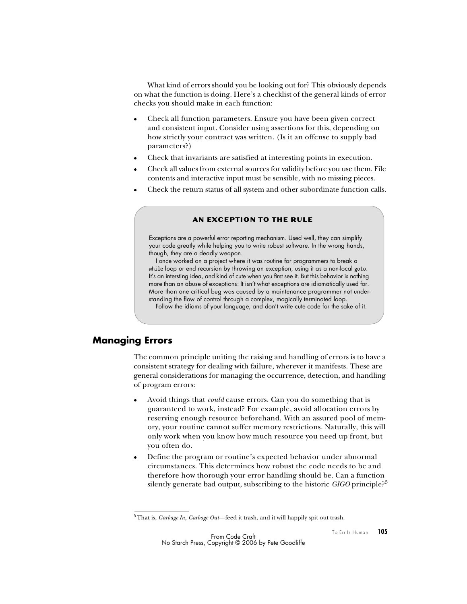What kind of errors should you be looking out for? This obviously depends on what the function is doing. Here's a checklist of the general kinds of error checks you should make in each function:

- Check all function parameters. Ensure you have been given correct and consistent input. Consider using assertions for this, depending on how strictly your contract was written. (Is it an offense to supply bad parameters?)
- Check that invariants are satisfied at interesting points in execution.
- Check all values from external sources for validity before you use them. File contents and interactive input must be sensible, with no missing pieces.
- Check the return status of all system and other subordinate function calls.

#### **AN EXCEPTION TO THE RULE**

Exceptions are a powerful error reporting mechanism. Used well, they can simplify your code greatly while helping you to write robust software. In the wrong hands, though, they are a deadly weapon.

I once worked on a project where it was routine for programmers to break a while loop or end recursion by throwing an exception, using it as a non-local goto. It's an intersting idea, and kind of cute when you first see it. But this behavior is nothing more than an abuse of exceptions: It isn't what exceptions are idiomatically used for. More than one critical bug was caused by a maintenance programmer not understanding the flow of control through a complex, magically terminated loop. Follow the idioms of your language, and don't write cute code for the sake of it.

# **Managing Errors**

The common principle uniting the raising and handling of errors is to have a consistent strategy for dealing with failure, wherever it manifests. These are general considerations for managing the occurrence, detection, and handling of program errors:

- Avoid things that *could* cause errors. Can you do something that is guaranteed to work, instead? For example, avoid allocation errors by reserving enough resource beforehand. With an assured pool of memory, your routine cannot suffer memory restrictions. Naturally, this will only work when you know how much resource you need up front, but you often do.
- Define the program or routine's expected behavior under abnormal circumstances. This determines how robust the code needs to be and therefore how thorough your error handling should be. Can a function silently generate bad output, subscribing to the historic *GIGO* principle?<sup>5</sup>

<sup>5</sup> That is, *Garbage In, Garbage Out*—feed it trash, and it will happily spit out trash.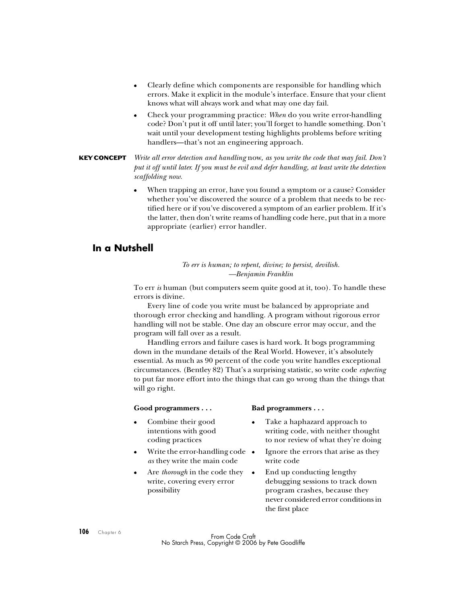- Clearly define which components are responsible for handling which errors. Make it explicit in the module's interface. Ensure that your client knows what will always work and what may one day fail.
- Check your programming practice: *When* do you write error-handling code? Don't put it off until later; you'll forget to handle something. Don't wait until your development testing highlights problems before writing handlers—that's not an engineering approach.

**KEY CONCEPT** *Write all error detection and handling* now*, as you write the code that may fail. Don't put it off until later. If you must be evil and defer handling, at least write the detection scaffolding now.*

> When trapping an error, have you found a symptom or a cause? Consider whether you've discovered the source of a problem that needs to be rectified here or if you've discovered a symptom of an earlier problem. If it's the latter, then don't write reams of handling code here, put that in a more appropriate (earlier) error handler.

# **In a Nutshell**

#### *To err is human; to repent, divine; to persist, devilish. —Benjamin Franklin*

To err *is* human (but computers seem quite good at it, too). To handle these errors is divine.

Every line of code you write must be balanced by appropriate and thorough error checking and handling. A program without rigorous error handling will not be stable. One day an obscure error may occur, and the program will fall over as a result.

Handling errors and failure cases is hard work. It bogs programming down in the mundane details of the Real World. However, it's absolutely essential. As much as 90 percent of the code you write handles exceptional circumstances. (Bentley 82) That's a surprising statistic, so write code *expecting* to put far more effort into the things that can go wrong than the things that will go right.

#### **Good programmers . . . Bad programmers . . .**

- Combine their good intentions with good coding practices
- Write the error-handling code . *as* they write the main code
- Are *thorough* in the code they write, covering every error possibility
- Take a haphazard approach to writing code, with neither thought to nor review of what they're doing
- Ignore the errors that arise as they write code
	- End up conducting lengthy debugging sessions to track down program crashes, because they never considered error conditions in the first place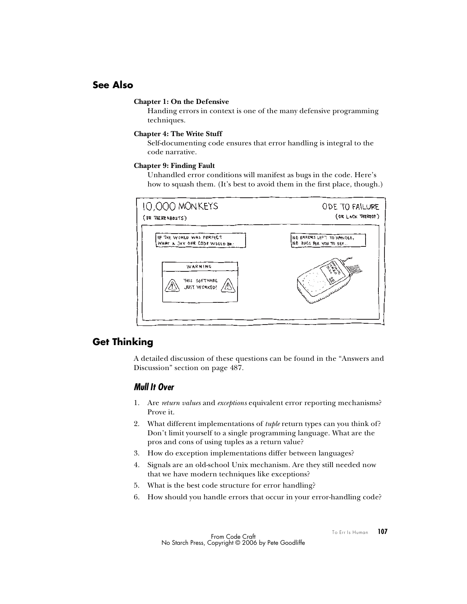# **See Also**

#### **Chapter 1: On the Defensive**

Handing errors in context is one of the many defensive programming techniques.

#### **Chapter 4: The Write Stuff**

Self-documenting code ensures that error handling is integral to the code narrative.

#### **Chapter 9: Finding Fault**

Unhandled error conditions will manifest as bugs in the code. Here's how to squash them. (It's best to avoid them in the first place, though.)



# **Get Thinking**

A detailed discussion of these questions can be found in the "Answers and Discussion" section on page 487.

# *Mull It Over*

- 1. Are *return values* and *exceptions* equivalent error reporting mechanisms? Prove it.
- 2. What different implementations of *tuple* return types can you think of? Don't limit yourself to a single programming language. What are the pros and cons of using tuples as a return value?
- 3. How do exception implementations differ between languages?
- 4. Signals are an old-school Unix mechanism. Are they still needed now that we have modern techniques like exceptions?
- 5. What is the best code structure for error handling?
- 6. How should you handle errors that occur in your error-handling code?